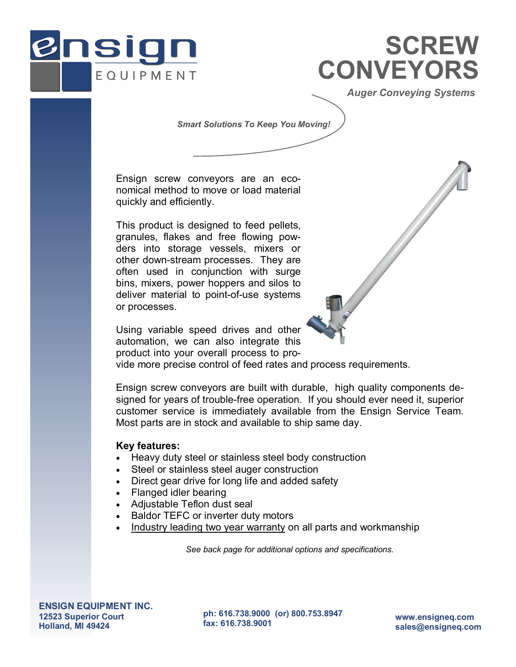

# **CONVEYORS SCREW**

*Auger Conveying Systems* 

#### *Smart Solutions To Keep You Moving!*

Ensign screw conveyors are an economical method to move or load material quickly and efficiently.

This product is designed to feed pellets, granules, flakes and free flowing powders into storage vessels, mixers or other down-stream processes. They are often used in conjunction with surge bins, mixers, power hoppers and silos to deliver material to point-of-use systems or processes.

Using variable speed drives and other automation, we can also integrate this product into your overall process to pro-



vide more precise control of feed rates and process requirements.

Ensign screw conveyors are built with durable, high quality components designed for years of trouble-free operation. If you should ever need it, superior customer service is immediately available from the Ensign Service Team. Most parts are in stock and available to ship same day.

### **Key features:**

- Heavy duty steel or stainless steel body construction
- Steel or stainless steel auger construction
- Direct gear drive for long life and added safety
- Flanged idler bearing
- Adjustable Teflon dust seal
- Baldor TEFC or inverter duty motors
- Industry leading two year warranty on all parts and workmanship

*See back page for additional options and specifications.* 

**ENSIGN EQUIPMENT INC. 12523 Superior Court Holland, MI 49424** 

**ph: 616.738.9000 (or) 800.753.8947** 

**fax: 616.738.9001 www.ensigneq.com sales@ensigneq.com**